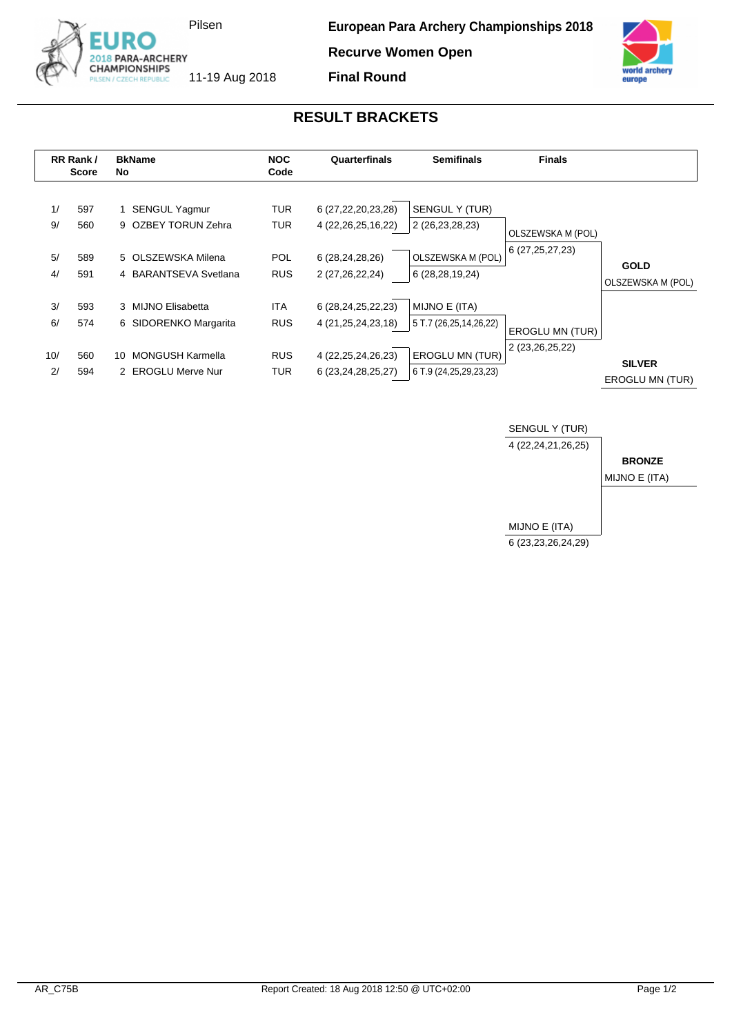

**Recurve Women Open**



## **RESULT BRACKETS**

**Final Round**